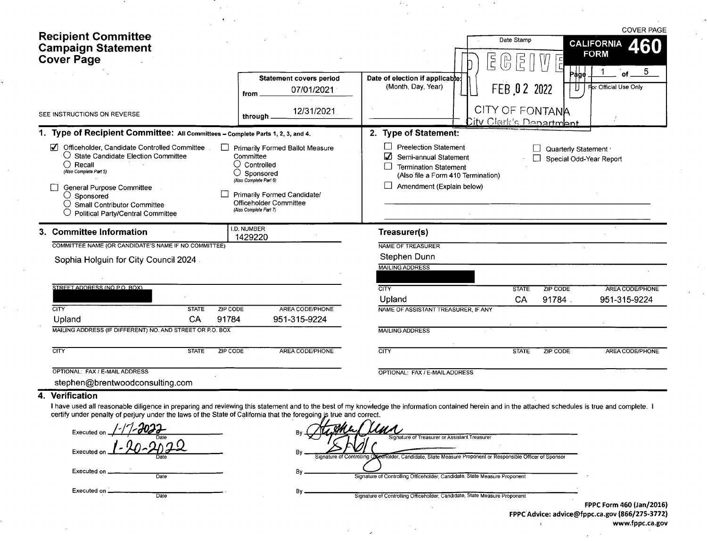| <b>Recipient Committee</b><br><b>Campaign Statement</b><br><b>Cover Page</b>                                                                                                                                                                                                                                                                     |                                                                                                                                                                                                         | $\vec{5}$                                                                                                                                                                                   | Date Stamp<br>$\frac{1}{\Gamma}$                   | <b>COVER PAGE</b><br><b>CALIFORNIA</b><br>460<br><b>FORM</b> |
|--------------------------------------------------------------------------------------------------------------------------------------------------------------------------------------------------------------------------------------------------------------------------------------------------------------------------------------------------|---------------------------------------------------------------------------------------------------------------------------------------------------------------------------------------------------------|---------------------------------------------------------------------------------------------------------------------------------------------------------------------------------------------|----------------------------------------------------|--------------------------------------------------------------|
|                                                                                                                                                                                                                                                                                                                                                  | <b>Statement covers period</b><br>07/01/2021<br>from                                                                                                                                                    | Date of election if applicable:<br>(Month, Day, Year)                                                                                                                                       | Pàge<br>FEB 02 2022                                | 5<br>of<br>For Official Use Only                             |
| SEE INSTRUCTIONS ON REVERSE                                                                                                                                                                                                                                                                                                                      | 12/31/2021<br>through.                                                                                                                                                                                  |                                                                                                                                                                                             | CITY OF FONTANA<br><u> Dity Clerk's Department</u> |                                                              |
| 1. Type of Recipient Committee: All Committees - Complete Parts 1, 2, 3, and 4.                                                                                                                                                                                                                                                                  |                                                                                                                                                                                                         | 2. Type of Statement:                                                                                                                                                                       |                                                    |                                                              |
| Officeholder, Candidate Controlled Committee<br>$\overline{v}$<br>$\bigcirc$ State Candidate Election Committee<br>$\bigcirc$ Recall<br>(Also Complete Part 5)<br>General Purpose Committee<br>$\bigcirc$ Sponsored<br>$\bigcirc$ Small Contributor Committee<br><b>Political Party/Central Committee</b>                                        | <b>Primarily Formed Ballot Measure</b><br>Committee<br>( )<br>Controlled<br>O<br>Sponsored<br>(Also Complete Part 6)<br>Primarily Formed Candidate/<br>Officeholder Committee<br>(Also Complete Part 7) | П<br><b>Preelection Statement</b><br>$\boldsymbol{\mathcal{L}}$<br>Semi-annual Statement<br><b>Termination Statement</b><br>(Also file a Form 410 Termination)<br>Amendment (Explain below) | Quarterly Statement                                | Special Odd-Year Report                                      |
| 3. Committee Information                                                                                                                                                                                                                                                                                                                         | I.D. NUMBER<br>1429220                                                                                                                                                                                  | Treasurer(s)                                                                                                                                                                                |                                                    |                                                              |
| COMMITTEE NAME (OR CANDIDATE'S NAME IF NO COMMITTEE)                                                                                                                                                                                                                                                                                             |                                                                                                                                                                                                         | NAME OF TREASURER                                                                                                                                                                           |                                                    |                                                              |
| Sophia Holguin for City Council 2024.                                                                                                                                                                                                                                                                                                            |                                                                                                                                                                                                         | Stephen Dunn                                                                                                                                                                                |                                                    |                                                              |
|                                                                                                                                                                                                                                                                                                                                                  |                                                                                                                                                                                                         | <b>MAILING ADDRESS</b>                                                                                                                                                                      |                                                    |                                                              |
| STREET ADDRESS (NO P.O. BOX)                                                                                                                                                                                                                                                                                                                     |                                                                                                                                                                                                         | <b>CITY</b>                                                                                                                                                                                 | <b>STATE</b><br><b>ZIP CODE</b>                    | <b>AREA CODE/PHONE</b>                                       |
|                                                                                                                                                                                                                                                                                                                                                  |                                                                                                                                                                                                         | Upland                                                                                                                                                                                      | CA<br>91784                                        | 951-315-9224                                                 |
| $\overline{\text{CITY}}$<br><b>STATE</b>                                                                                                                                                                                                                                                                                                         | <b>ZIP CODE</b><br>AREA CODE/PHONE                                                                                                                                                                      | NAME OF ASSISTANT TREASURER, IF ANY                                                                                                                                                         |                                                    |                                                              |
| CA<br>91784<br>Upland                                                                                                                                                                                                                                                                                                                            | 951-315-9224                                                                                                                                                                                            |                                                                                                                                                                                             |                                                    |                                                              |
| MAILING ADDRESS (IF DIFFERENT) NO. AND STREET OR P.O. BOX                                                                                                                                                                                                                                                                                        |                                                                                                                                                                                                         | <b>MAILING ADDRESS</b>                                                                                                                                                                      |                                                    |                                                              |
| <b>CITY</b><br><b>STATE</b>                                                                                                                                                                                                                                                                                                                      | <b>AREA CODE/PHONE</b><br><b>ZIP CODE</b>                                                                                                                                                               | <b>CITY</b>                                                                                                                                                                                 | <b>STATE</b><br><b>ZIP CODE</b>                    | AREA CODE/PHONE                                              |
| OPTIONAL: FAX / E-MAIL ADDRESS<br>stephen@brentwoodconsulting.com                                                                                                                                                                                                                                                                                |                                                                                                                                                                                                         | OPTIONAL: FAX / E-MAIL ADDRESS                                                                                                                                                              |                                                    |                                                              |
| Verification<br>4.<br>I have used all reasonable diligence in preparing and reviewing this statement and to the best of my knowledge the information contained herein and in the attached schedules is true and complete. I<br>certify under penalty of periupy under the laws of the State of California that the foregoing is true and correct |                                                                                                                                                                                                         |                                                                                                                                                                                             |                                                    |                                                              |

 $\frac{2\pi\sigma_{\rm eff}}{2\pi}$ 

 $\sim 10^{11}$ 

 $\mathcal{L}(\mathcal{A})$  and  $\mathcal{A}(\mathcal{A})$ 

 $\sim$ 

 $\ddot{\phantom{1}}$ 

 $\sim$   $\sim$ 

 $\sim$ 

**CONTRACTOR** 

 $\sim$ 

 $\Delta \phi = 0.1$ 

 $\Delta \sim 2$ 

| certify under penalty of perjury under the laws of the State of California that the foregoing is true and correct. |                                                                                                                                                            |                                                                                      |
|--------------------------------------------------------------------------------------------------------------------|------------------------------------------------------------------------------------------------------------------------------------------------------------|--------------------------------------------------------------------------------------|
| 17.200<br>Executed on.                                                                                             | Bv.                                                                                                                                                        |                                                                                      |
| Executed on                                                                                                        | Signature of Treasurer or Assistant Treasurer<br>Signature of Controlling Oxeenolder, Candidate, State Measure Proponent or Responsible Officer of Sponsor |                                                                                      |
| Executed on $\_\_\_\_\$<br>Date                                                                                    | Signature of Controlling Officeholder, Candidate, State Measure Proponent                                                                                  |                                                                                      |
| Executed on $\equiv$<br>Date                                                                                       | B٧<br>Signature of Controlling Officeholder, Candidate, State Measure Proponent                                                                            |                                                                                      |
|                                                                                                                    |                                                                                                                                                            | FPPC Form 460 (Jan/2016)<br>FRRC'A distance distance Change and any 10CC 1975, 27731 |

 $\mathcal{L}^{\text{max}}$  $\mathcal{L}^{\mathcal{L}}$   $\sim 2\,$   $\star$ 

FPPC Advice: advice@fppc. ca. gov (866/ 275- 3772) www.fppc.ca.gov

 $\mathcal{L}_{\rm{max}}$ 

 $\sim$   $\sim$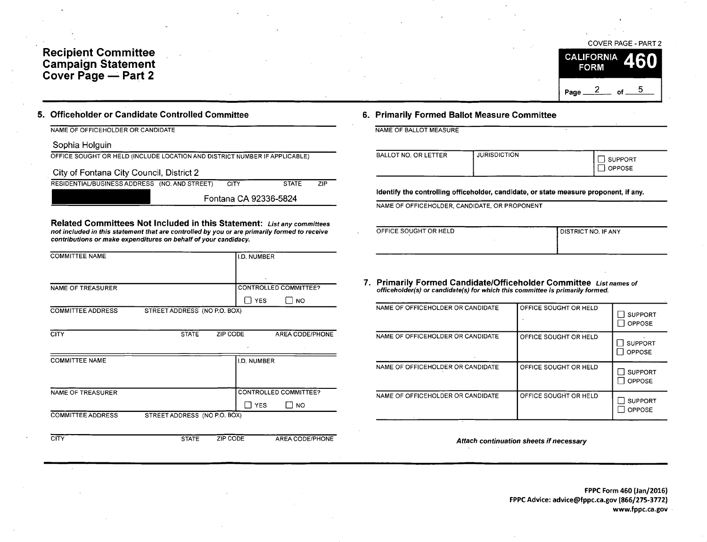## Recipient Committee Campaign Statement Cover Page — Part 2



### 5. Officeholder or Candidate Controlled Committee 6. Primarily Formed Ballot Measure Committee

NAME OF OFFICEHOLDER OR CANDIDATE NAME OF BALLOT MEASURE

Sophia Holguin

|  | OFFICE SOUGHT OR HELD (INCLUDE LOCATION AND DISTRICT NUMBER IF APPLICABLE) |  |
|--|----------------------------------------------------------------------------|--|
|  |                                                                            |  |

City of Fontana City Council, District 2

RESIDENTIAL/BUSINESS ADDRESS (NO. AND STREET) CITY STATE ZIP

Fontana CA 92336-5824

Related Committees Not Included in this Statement: List any committees not included in this statement that are controlled by you or are primarily formed to receive contributions or make expenditures on behalf of your candidacy.

| <b>COMMITTEE NAME</b>    |                              | <b>I.D. NUMBER</b> |                       |  |  |
|--------------------------|------------------------------|--------------------|-----------------------|--|--|
|                          |                              |                    |                       |  |  |
| <b>NAME OF TREASURER</b> |                              |                    | CONTROLLED COMMITTEE? |  |  |
|                          |                              | <b>YES</b>         | <b>NO</b>             |  |  |
| <b>COMMITTEE ADDRESS</b> | STREET ADDRESS (NO P.O. BOX) |                    |                       |  |  |

| <b>CITY</b>              | <b>STATE</b>                 | ZIP CODE | ٠           | AREA CODE/PHONE<br>٠  |
|--------------------------|------------------------------|----------|-------------|-----------------------|
| <b>COMMITTEE NAME</b>    |                              |          | I.D. NUMBER |                       |
| <b>NAME OF TREASURER</b> |                              |          |             | CONTROLLED COMMITTEE? |
|                          |                              |          | <b>YES</b>  | I NO                  |
| <b>COMMITTEE ADDRESS</b> | STREET ADDRESS (NO P.O. BOX) |          |             |                       |

CITY STATE ZIP CODE AREA CODE/PHONE

| BALLOT NO, OR LETTER | <b>JURISDICTION</b> | SUPPORT<br><b>OPPOSE</b> |
|----------------------|---------------------|--------------------------|
|                      |                     |                          |

Identify the controlling officeholder, candidate, or state measure proponent, if any.

NAME OF OFFICEHOLDER, CANDIDATE, OR PROPONENT

| OFFICE SOUGHT OR HELD | I DISTRICT NO. IF ANY |
|-----------------------|-----------------------|
|                       |                       |

7. Primarily Formed Candidate/Officeholder Committee List names of officeholder( s) or candidate( s) for which this committee is primarily formed.

| NAME OF OFFICEHOLDER OR CANDIDATE | OFFICE SOUGHT OR HELD | <b>SUPPORT</b><br><b>OPPOSE</b> |
|-----------------------------------|-----------------------|---------------------------------|
| NAME OF OFFICEHOLDER OR CANDIDATE | OFFICE SOUGHT OR HELD | <b>SUPPORT</b><br><b>OPPOSE</b> |
| NAME OF OFFICEHOLDER OR CANDIDATE | OFFICE SOUGHT OR HELD | <b>SUPPORT</b><br><b>OPPOSE</b> |
| NAME OF OFFICEHOLDER OR CANDIDATE | OFFICE SOUGHT OR HELD | <b>SUPPORT</b><br><b>OPPOSE</b> |

Attach continuation sheets if necessary

FPPC Form 460 (Jan/2016) FPPC Advice: advice@fppc.ca.gov (866/275-3772) www.fppc.ca.gov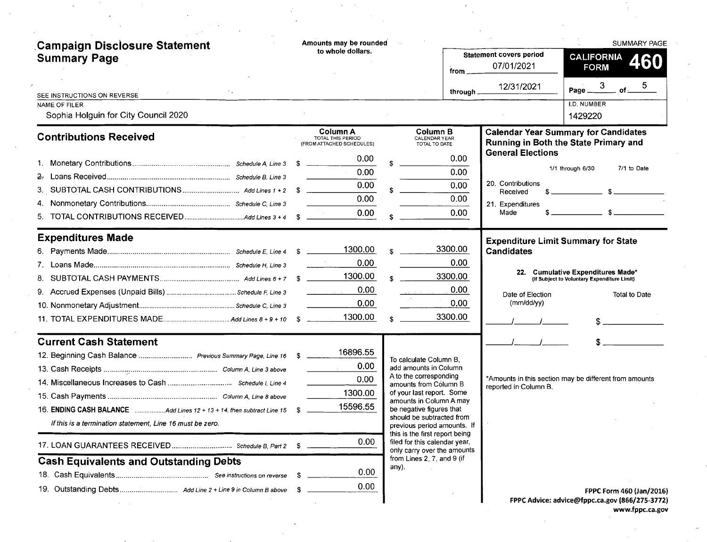| Campaign Disclosure Statement<br><b>Summary Page</b><br>SEE INSTRUCTIONS ON REVERSE<br><b>NAME OF FILER</b><br>Sophia Holguin for City Council 2020                                                                                                                                   | Amounts may be rounded<br>to whole dollars.                                                               | from _<br>through $\overline{\phantom{a}}$                                                                                                                                                                                                                                                                                                                                                  | <b>Statement covers period</b><br>07/01/2021<br>12/31/2021                                        | SUMMARY PAGE<br><b>CALIFORNIA</b><br>460<br><b>FORM</b><br>Page $\frac{3}{1}$ of $\frac{3}{1}$<br>I.D. NUMBER<br>1429220                     |
|---------------------------------------------------------------------------------------------------------------------------------------------------------------------------------------------------------------------------------------------------------------------------------------|-----------------------------------------------------------------------------------------------------------|---------------------------------------------------------------------------------------------------------------------------------------------------------------------------------------------------------------------------------------------------------------------------------------------------------------------------------------------------------------------------------------------|---------------------------------------------------------------------------------------------------|----------------------------------------------------------------------------------------------------------------------------------------------|
| <b>Contributions Received</b>                                                                                                                                                                                                                                                         | Column A<br><b>TOTAL THIS PERIOD</b><br>(FROM ATTACHED SCHEDULES)<br>0.00<br>0.00<br>0.00<br>0.00<br>0.00 | Column B<br>CALENDAR YEAR<br>TOTAL TO DATE<br>0.00<br>0.00<br>0.00<br>0.00<br>0.00 <sub>1</sub>                                                                                                                                                                                                                                                                                             | <b>General Elections</b><br>20. Contributions<br>Received<br>21. Expenditures<br>Made             | <b>Calendar Year Summary for Candidates</b><br>Running in Both the State Primary and<br>1/1 through 6/30<br>7/1 to Date<br>$s \sim$ $s \sim$ |
| <b>Expenditures Made</b><br>8.                                                                                                                                                                                                                                                        | 1300.00<br>0.00<br>1300.00<br>0.00<br>0.00<br>1300.00                                                     | 3300.00<br>0.00<br>3300.00<br>0.00<br>0.00<br>3300.00                                                                                                                                                                                                                                                                                                                                       | <b>Expenditure Limit Summary for State</b><br><b>Candidates</b><br>Date of Election<br>(mm/dd/yy) | 22. Cumulative Expenditures Made*<br>(If Subject to Voluntary Expenditure Limit)<br><b>Total to Date</b><br>$S_{\text{max}}$                 |
| <b>Current Cash Statement</b><br>12. Beginning Cash Balance  Previous Summary Page, Line 16 \$<br>16. ENDING CASH BALANCE Add Lines 12 + 13 + 14, then subtract Line 15<br>If this is a termination statement, Line 16 must be zero.<br><b>Cash Equivalents and Outstanding Debts</b> | 16896.55<br>0.00<br>0.00<br>1300.00<br>15596.55<br>0.00<br>0.00<br>S<br>0.00                              | To calculate Column B.<br>add amounts in Column<br>A to the corresponding<br>amounts from Column B<br>of your last report. Some<br>amounts in Column A may<br>be negative figures that<br>should be subtracted from<br>previous period amounts. If<br>this is the first report being<br>filed for this calendar year,<br>only carry over the amounts<br>from Lines 2, 7, and 9 (if<br>any). | reported in Column B.                                                                             | *Amounts in this section may be different from amounts                                                                                       |
|                                                                                                                                                                                                                                                                                       | -S                                                                                                        |                                                                                                                                                                                                                                                                                                                                                                                             |                                                                                                   | FPPC Form 460 (Jan/2016)<br>EDDC Advice: advice@fanc.ca.gov (866/275-2772)                                                                   |

FPPC Advice: advice@fppc. ca. gov ( 866/ 275- 3772) www.fppc.ca.gov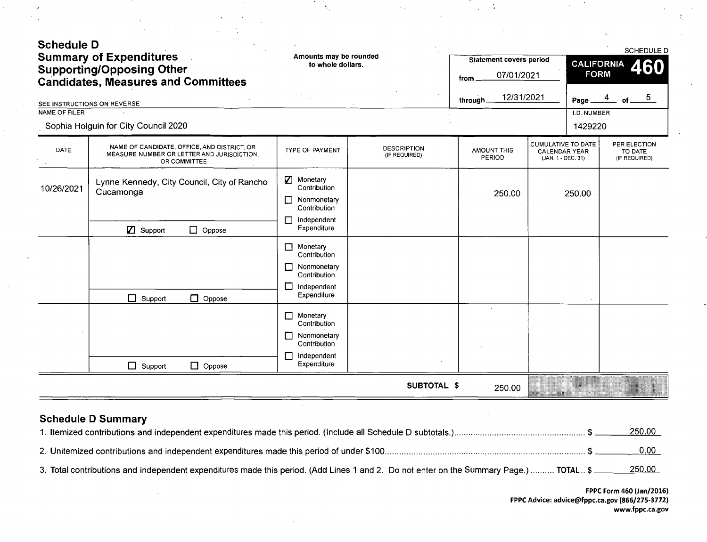| <b>Schedule D</b> | <b>Summary of Expenditures</b><br><b>Supporting/Opposing Other</b><br><b>Candidates, Measures and Committees</b> | Amounts may be rounded<br>to whole dollars.                                                                              |                                     | <b>Statement covers period</b><br>07/01/2021<br>from |                                                                         | <b>CALIFORNIA</b><br><b>FORM</b> | SCHEDULE D<br>460                        |
|-------------------|------------------------------------------------------------------------------------------------------------------|--------------------------------------------------------------------------------------------------------------------------|-------------------------------------|------------------------------------------------------|-------------------------------------------------------------------------|----------------------------------|------------------------------------------|
|                   | SEE INSTRUCTIONS ON REVERSE                                                                                      |                                                                                                                          |                                     | 12/31/2021<br>through.                               |                                                                         | Page                             | 5 <sub>5</sub>                           |
| NAME OF FILER     | Sophia Holguin for City Council 2020                                                                             |                                                                                                                          |                                     |                                                      |                                                                         | I.D. NUMBER<br>1429220           |                                          |
| DATE              | NAME OF CANDIDATE, OFFICE, AND DISTRICT, OR<br>MEASURE NUMBER OR LETTER AND JURISDICTION.<br>OR COMMITTEE        | <b>TYPE OF PAYMENT</b>                                                                                                   | <b>DESCRIPTION</b><br>(IF REQUIRED) | <b>AMOUNT THIS</b><br>PERIOD                         | <b>CUMULATIVE TO DATE</b><br><b>CALENDAR YEAR</b><br>(JAN. 1 - DEC. 31) |                                  | PER ELECTION<br>TO DATE<br>(IF REQUIRED) |
| 10/26/2021        | Lynne Kennedy, City Council, City of Rancho<br>Cucamonga                                                         | Monetary<br>Contribution<br>Nonmonetary<br>П<br>Contribution<br>Independent<br>П                                         |                                     | 250.00                                               |                                                                         | 250.00                           |                                          |
|                   | <b>Z</b> Support<br>$\Box$ Oppose<br>$\Box$ Support<br>$\Box$ Oppose                                             | Expenditure<br>Monetary<br>Contribution<br>Nonmonetary<br>$\Box$<br>Contribution<br>$\Box$<br>Independent<br>Expenditure |                                     |                                                      |                                                                         |                                  |                                          |
|                   |                                                                                                                  | $\Box$<br>Monetary<br>Contribution<br>Nonmonetary<br>$\Box$<br>Contribution<br>Independent<br>$\Box$<br>Expenditure      |                                     |                                                      |                                                                         |                                  |                                          |
|                   | $\Box$ Support<br>$\Box$ Oppose                                                                                  |                                                                                                                          | SUBTOTAL \$                         | 250.00                                               | m se sendent                                                            |                                  |                                          |

÷,

 $\frac{1}{4}$ 

# Schedule D Summary

|                                                                                                                                        | 250.00            |
|----------------------------------------------------------------------------------------------------------------------------------------|-------------------|
|                                                                                                                                        | 0.00 <sub>1</sub> |
| 3. Total contributions and independent expenditures made this period. (Add Lines 1 and 2. Do not enter on the Summary Page.)  TOTAL \$ | <u>250.00</u>     |

Å,